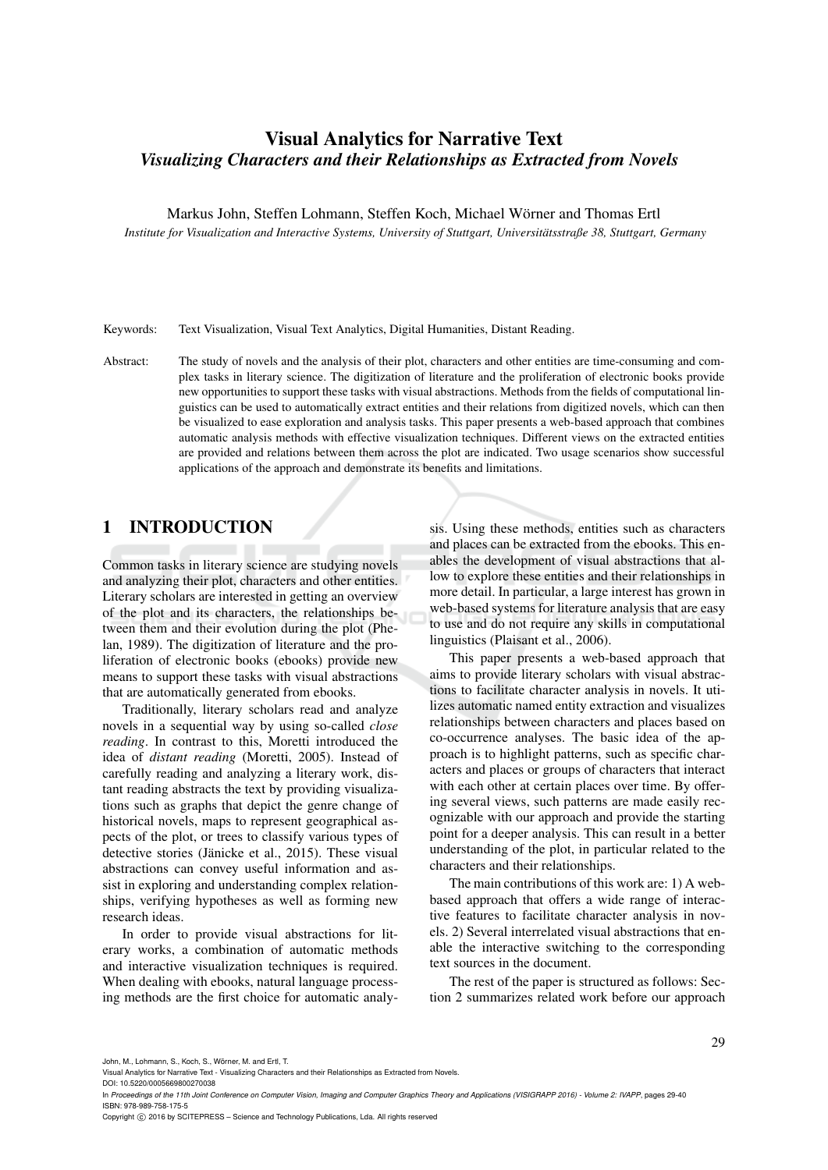# Visual Analytics for Narrative Text *Visualizing Characters and their Relationships as Extracted from Novels*

Markus John, Steffen Lohmann, Steffen Koch, Michael Worner and Thomas Ertl ¨

*Institute for Visualization and Interactive Systems, University of Stuttgart, Universitatsstraße 38, Stuttgart, Germany ¨*

Keywords: Text Visualization, Visual Text Analytics, Digital Humanities, Distant Reading.

Abstract: The study of novels and the analysis of their plot, characters and other entities are time-consuming and complex tasks in literary science. The digitization of literature and the proliferation of electronic books provide new opportunities to support these tasks with visual abstractions. Methods from the fields of computational linguistics can be used to automatically extract entities and their relations from digitized novels, which can then be visualized to ease exploration and analysis tasks. This paper presents a web-based approach that combines automatic analysis methods with effective visualization techniques. Different views on the extracted entities are provided and relations between them across the plot are indicated. Two usage scenarios show successful applications of the approach and demonstrate its benefits and limitations.

## 1 INTRODUCTION

Common tasks in literary science are studying novels and analyzing their plot, characters and other entities. Literary scholars are interested in getting an overview of the plot and its characters, the relationships between them and their evolution during the plot (Phelan, 1989). The digitization of literature and the proliferation of electronic books (ebooks) provide new means to support these tasks with visual abstractions that are automatically generated from ebooks.

Traditionally, literary scholars read and analyze novels in a sequential way by using so-called *close reading*. In contrast to this, Moretti introduced the idea of *distant reading* (Moretti, 2005). Instead of carefully reading and analyzing a literary work, distant reading abstracts the text by providing visualizations such as graphs that depict the genre change of historical novels, maps to represent geographical aspects of the plot, or trees to classify various types of detective stories (Jänicke et al., 2015). These visual abstractions can convey useful information and assist in exploring and understanding complex relationships, verifying hypotheses as well as forming new research ideas.

In order to provide visual abstractions for literary works, a combination of automatic methods and interactive visualization techniques is required. When dealing with ebooks, natural language processing methods are the first choice for automatic analysis. Using these methods, entities such as characters and places can be extracted from the ebooks. This enables the development of visual abstractions that allow to explore these entities and their relationships in more detail. In particular, a large interest has grown in web-based systems for literature analysis that are easy to use and do not require any skills in computational linguistics (Plaisant et al., 2006).

This paper presents a web-based approach that aims to provide literary scholars with visual abstractions to facilitate character analysis in novels. It utilizes automatic named entity extraction and visualizes relationships between characters and places based on co-occurrence analyses. The basic idea of the approach is to highlight patterns, such as specific characters and places or groups of characters that interact with each other at certain places over time. By offering several views, such patterns are made easily recognizable with our approach and provide the starting point for a deeper analysis. This can result in a better understanding of the plot, in particular related to the characters and their relationships.

The main contributions of this work are: 1) A webbased approach that offers a wide range of interactive features to facilitate character analysis in novels. 2) Several interrelated visual abstractions that enable the interactive switching to the corresponding text sources in the document.

The rest of the paper is structured as follows: Section 2 summarizes related work before our approach

John, M., Lohmann, S., Koch, S., Wörner, M. and Ertl, T.

Copyright © 2016 by SCITEPRESS - Science and Technology Publications, Lda. All rights reserved

Visual Analytics for Narrative Text - Visualizing Characters and their Relationships as Extracted from Novels. DOI: 10.5220/0005669800270038

In *Proceedings of the 11th Joint Conference on Computer Vision, Imaging and Computer Graphics Theory and Applications (VISIGRAPP 2016) - Volume 2: IVAPP*, pages 29-40 ISBN: 978-989-758-175-5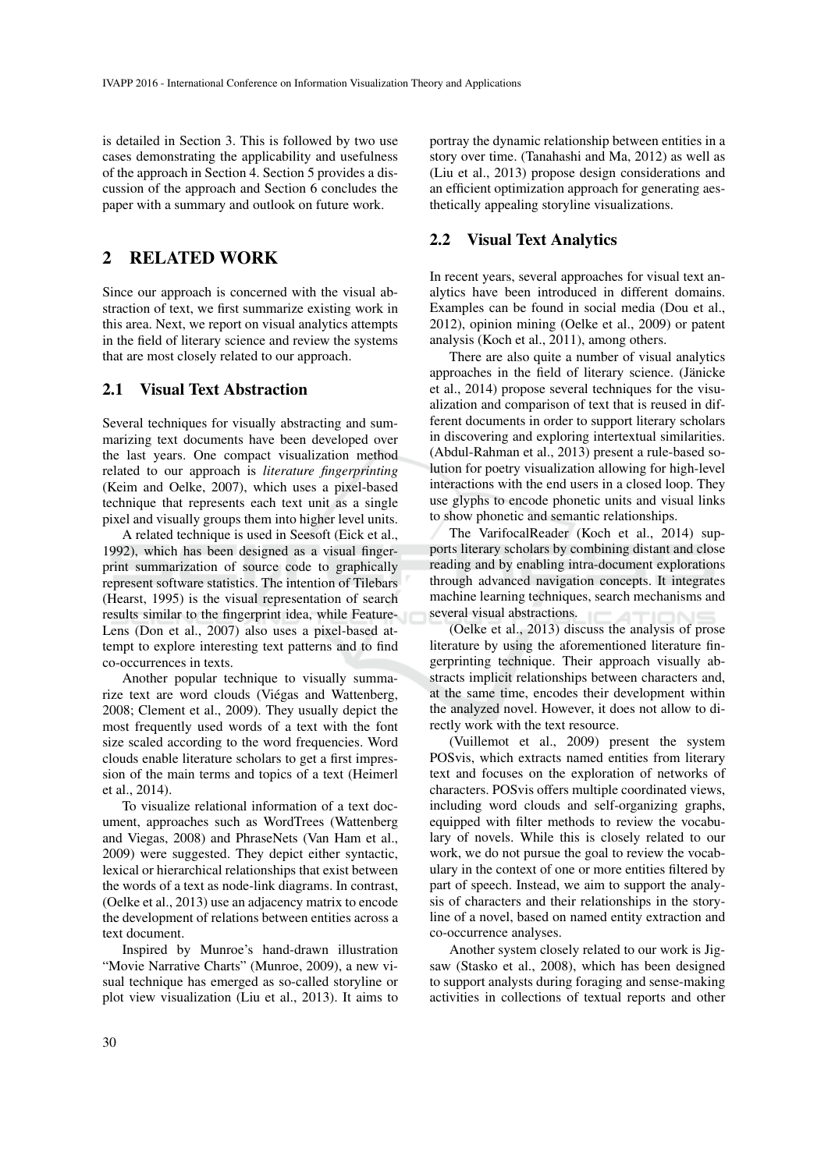is detailed in Section 3. This is followed by two use cases demonstrating the applicability and usefulness of the approach in Section 4. Section 5 provides a discussion of the approach and Section 6 concludes the paper with a summary and outlook on future work.

## 2 RELATED WORK

Since our approach is concerned with the visual abstraction of text, we first summarize existing work in this area. Next, we report on visual analytics attempts in the field of literary science and review the systems that are most closely related to our approach.

#### 2.1 Visual Text Abstraction

Several techniques for visually abstracting and summarizing text documents have been developed over the last years. One compact visualization method related to our approach is *literature fingerprinting* (Keim and Oelke, 2007), which uses a pixel-based technique that represents each text unit as a single pixel and visually groups them into higher level units.

A related technique is used in Seesoft (Eick et al., 1992), which has been designed as a visual fingerprint summarization of source code to graphically represent software statistics. The intention of Tilebars (Hearst, 1995) is the visual representation of search results similar to the fingerprint idea, while Feature-Lens (Don et al., 2007) also uses a pixel-based attempt to explore interesting text patterns and to find co-occurrences in texts.

Another popular technique to visually summarize text are word clouds (Viegas and Wattenberg, ´ 2008; Clement et al., 2009). They usually depict the most frequently used words of a text with the font size scaled according to the word frequencies. Word clouds enable literature scholars to get a first impression of the main terms and topics of a text (Heimerl et al., 2014).

To visualize relational information of a text document, approaches such as WordTrees (Wattenberg and Viegas, 2008) and PhraseNets (Van Ham et al., 2009) were suggested. They depict either syntactic, lexical or hierarchical relationships that exist between the words of a text as node-link diagrams. In contrast, (Oelke et al., 2013) use an adjacency matrix to encode the development of relations between entities across a text document.

Inspired by Munroe's hand-drawn illustration "Movie Narrative Charts" (Munroe, 2009), a new visual technique has emerged as so-called storyline or plot view visualization (Liu et al., 2013). It aims to portray the dynamic relationship between entities in a story over time. (Tanahashi and Ma, 2012) as well as (Liu et al., 2013) propose design considerations and an efficient optimization approach for generating aesthetically appealing storyline visualizations.

### 2.2 Visual Text Analytics

In recent years, several approaches for visual text analytics have been introduced in different domains. Examples can be found in social media (Dou et al., 2012), opinion mining (Oelke et al., 2009) or patent analysis (Koch et al., 2011), among others.

There are also quite a number of visual analytics approaches in the field of literary science. (Jänicke et al., 2014) propose several techniques for the visualization and comparison of text that is reused in different documents in order to support literary scholars in discovering and exploring intertextual similarities. (Abdul-Rahman et al., 2013) present a rule-based solution for poetry visualization allowing for high-level interactions with the end users in a closed loop. They use glyphs to encode phonetic units and visual links to show phonetic and semantic relationships.

The VarifocalReader (Koch et al., 2014) supports literary scholars by combining distant and close reading and by enabling intra-document explorations through advanced navigation concepts. It integrates machine learning techniques, search mechanisms and several visual abstractions.

(Oelke et al., 2013) discuss the analysis of prose literature by using the aforementioned literature fingerprinting technique. Their approach visually abstracts implicit relationships between characters and, at the same time, encodes their development within the analyzed novel. However, it does not allow to directly work with the text resource.

(Vuillemot et al., 2009) present the system POSvis, which extracts named entities from literary text and focuses on the exploration of networks of characters. POSvis offers multiple coordinated views, including word clouds and self-organizing graphs, equipped with filter methods to review the vocabulary of novels. While this is closely related to our work, we do not pursue the goal to review the vocabulary in the context of one or more entities filtered by part of speech. Instead, we aim to support the analysis of characters and their relationships in the storyline of a novel, based on named entity extraction and co-occurrence analyses.

Another system closely related to our work is Jigsaw (Stasko et al., 2008), which has been designed to support analysts during foraging and sense-making activities in collections of textual reports and other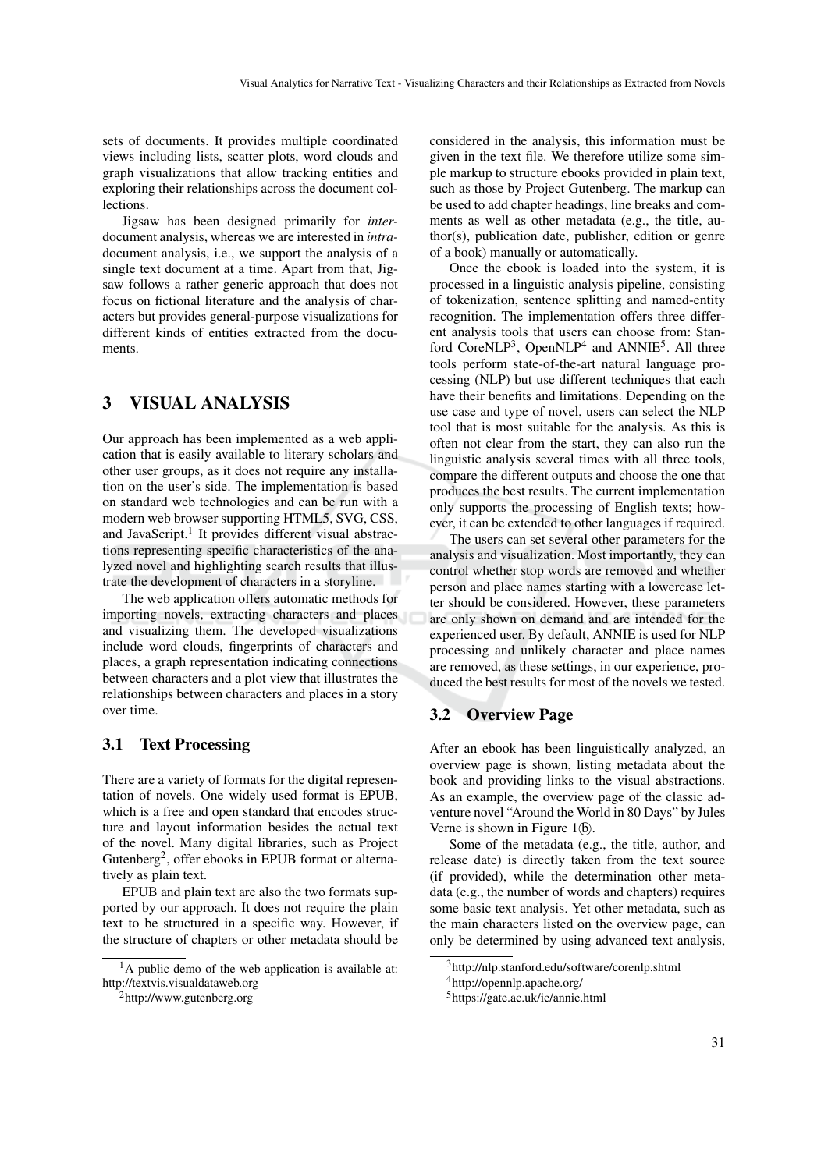sets of documents. It provides multiple coordinated views including lists, scatter plots, word clouds and graph visualizations that allow tracking entities and exploring their relationships across the document collections.

Jigsaw has been designed primarily for *inter*document analysis, whereas we are interested in *intra*document analysis, i.e., we support the analysis of a single text document at a time. Apart from that, Jigsaw follows a rather generic approach that does not focus on fictional literature and the analysis of characters but provides general-purpose visualizations for different kinds of entities extracted from the documents.

# 3 VISUAL ANALYSIS

Our approach has been implemented as a web application that is easily available to literary scholars and other user groups, as it does not require any installation on the user's side. The implementation is based on standard web technologies and can be run with a modern web browser supporting HTML5, SVG, CSS, and JavaScript.<sup>1</sup> It provides different visual abstractions representing specific characteristics of the analyzed novel and highlighting search results that illustrate the development of characters in a storyline.

The web application offers automatic methods for importing novels, extracting characters and places and visualizing them. The developed visualizations include word clouds, fingerprints of characters and places, a graph representation indicating connections between characters and a plot view that illustrates the relationships between characters and places in a story over time.

### 3.1 Text Processing

There are a variety of formats for the digital representation of novels. One widely used format is EPUB, which is a free and open standard that encodes structure and layout information besides the actual text of the novel. Many digital libraries, such as Project Gutenberg<sup>2</sup>, offer ebooks in EPUB format or alternatively as plain text.

EPUB and plain text are also the two formats supported by our approach. It does not require the plain text to be structured in a specific way. However, if the structure of chapters or other metadata should be considered in the analysis, this information must be given in the text file. We therefore utilize some simple markup to structure ebooks provided in plain text, such as those by Project Gutenberg. The markup can be used to add chapter headings, line breaks and comments as well as other metadata (e.g., the title, author(s), publication date, publisher, edition or genre of a book) manually or automatically.

Once the ebook is loaded into the system, it is processed in a linguistic analysis pipeline, consisting of tokenization, sentence splitting and named-entity recognition. The implementation offers three different analysis tools that users can choose from: Stanford CoreNLP<sup>3</sup>, OpenNLP<sup>4</sup> and ANNIE<sup>5</sup>. All three tools perform state-of-the-art natural language processing (NLP) but use different techniques that each have their benefits and limitations. Depending on the use case and type of novel, users can select the NLP tool that is most suitable for the analysis. As this is often not clear from the start, they can also run the linguistic analysis several times with all three tools, compare the different outputs and choose the one that produces the best results. The current implementation only supports the processing of English texts; however, it can be extended to other languages if required.

The users can set several other parameters for the analysis and visualization. Most importantly, they can control whether stop words are removed and whether person and place names starting with a lowercase letter should be considered. However, these parameters are only shown on demand and are intended for the experienced user. By default, ANNIE is used for NLP processing and unlikely character and place names are removed, as these settings, in our experience, produced the best results for most of the novels we tested.

### 3.2 Overview Page

After an ebook has been linguistically analyzed, an overview page is shown, listing metadata about the book and providing links to the visual abstractions. As an example, the overview page of the classic adventure novel "Around the World in 80 Days" by Jules Verne is shown in Figure  $1(b)$ .

Some of the metadata (e.g., the title, author, and release date) is directly taken from the text source (if provided), while the determination other metadata (e.g., the number of words and chapters) requires some basic text analysis. Yet other metadata, such as the main characters listed on the overview page, can only be determined by using advanced text analysis,

 $<sup>1</sup>A$  public demo of the web application is available at:</sup> http://textvis.visualdataweb.org

<sup>2</sup>http://www.gutenberg.org

<sup>3</sup>http://nlp.stanford.edu/software/corenlp.shtml

<sup>4</sup>http://opennlp.apache.org/

<sup>5</sup>https://gate.ac.uk/ie/annie.html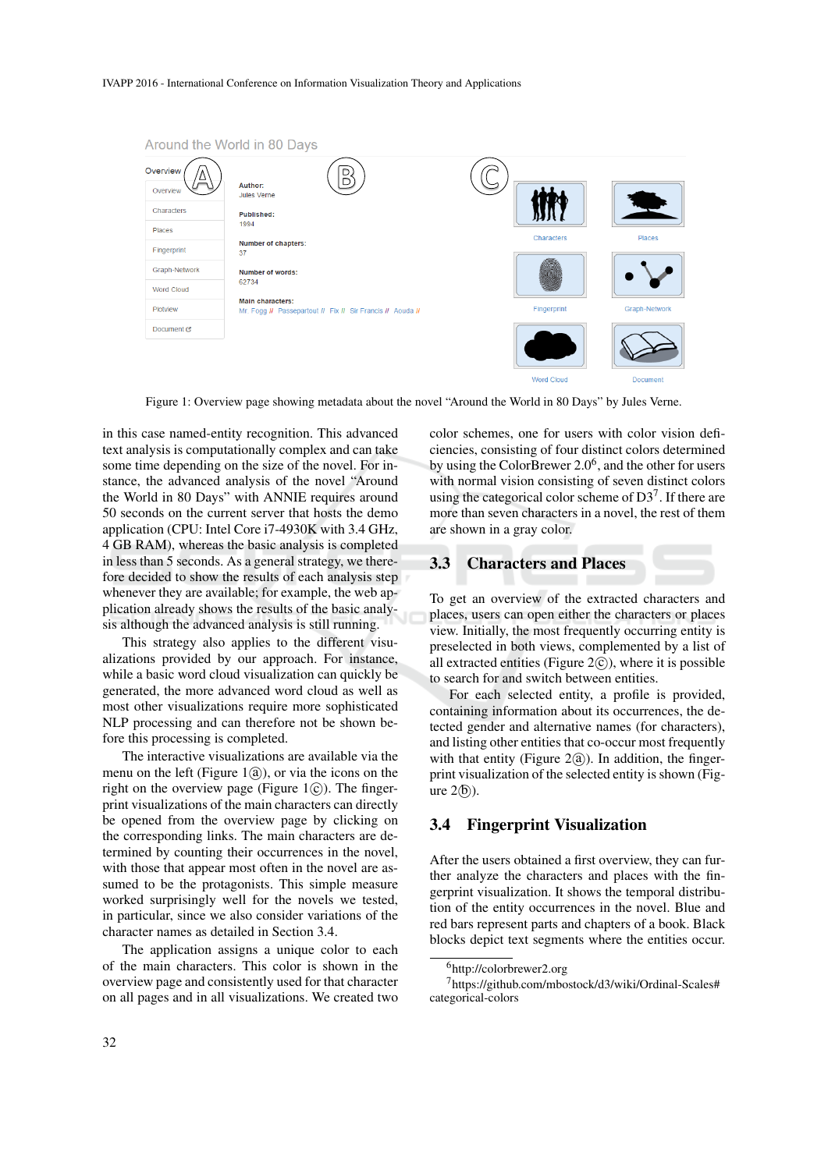

Figure 1: Overview page showing metadata about the novel "Around the World in 80 Days" by Jules Verne.

in this case named-entity recognition. This advanced text analysis is computationally complex and can take some time depending on the size of the novel. For instance, the advanced analysis of the novel "Around the World in 80 Days" with ANNIE requires around 50 seconds on the current server that hosts the demo application (CPU: Intel Core i7-4930K with 3.4 GHz, 4 GB RAM), whereas the basic analysis is completed in less than 5 seconds. As a general strategy, we therefore decided to show the results of each analysis step whenever they are available; for example, the web application already shows the results of the basic analysis although the advanced analysis is still running.

This strategy also applies to the different visualizations provided by our approach. For instance, while a basic word cloud visualization can quickly be generated, the more advanced word cloud as well as most other visualizations require more sophisticated NLP processing and can therefore not be shown before this processing is completed.

The interactive visualizations are available via the menu on the left (Figure  $1(a)$ ), or via the icons on the right on the overview page (Figure  $1(\hat{c})$ ). The fingerprint visualizations of the main characters can directly be opened from the overview page by clicking on the corresponding links. The main characters are determined by counting their occurrences in the novel, with those that appear most often in the novel are assumed to be the protagonists. This simple measure worked surprisingly well for the novels we tested, in particular, since we also consider variations of the character names as detailed in Section 3.4.

The application assigns a unique color to each of the main characters. This color is shown in the overview page and consistently used for that character on all pages and in all visualizations. We created two

color schemes, one for users with color vision deficiencies, consisting of four distinct colors determined by using the ColorBrewer  $2.0<sup>6</sup>$ , and the other for users with normal vision consisting of seven distinct colors using the categorical color scheme of  $D3<sup>7</sup>$ . If there are more than seven characters in a novel, the rest of them are shown in a gray color.

### 3.3 Characters and Places

To get an overview of the extracted characters and places, users can open either the characters or places view. Initially, the most frequently occurring entity is preselected in both views, complemented by a list of all extracted entities (Figure  $2(\hat{c})$ ), where it is possible to search for and switch between entities.

For each selected entity, a profile is provided, containing information about its occurrences, the detected gender and alternative names (for characters), and listing other entities that co-occur most frequently with that entity (Figure  $2(a)$ ). In addition, the fingerprint visualization of the selected entity is shown (Fig $ure 2(b)$ ).

### 3.4 Fingerprint Visualization

After the users obtained a first overview, they can further analyze the characters and places with the fingerprint visualization. It shows the temporal distribution of the entity occurrences in the novel. Blue and red bars represent parts and chapters of a book. Black blocks depict text segments where the entities occur.

<sup>6</sup>http://colorbrewer2.org

<sup>7</sup>https://github.com/mbostock/d3/wiki/Ordinal-Scales# categorical-colors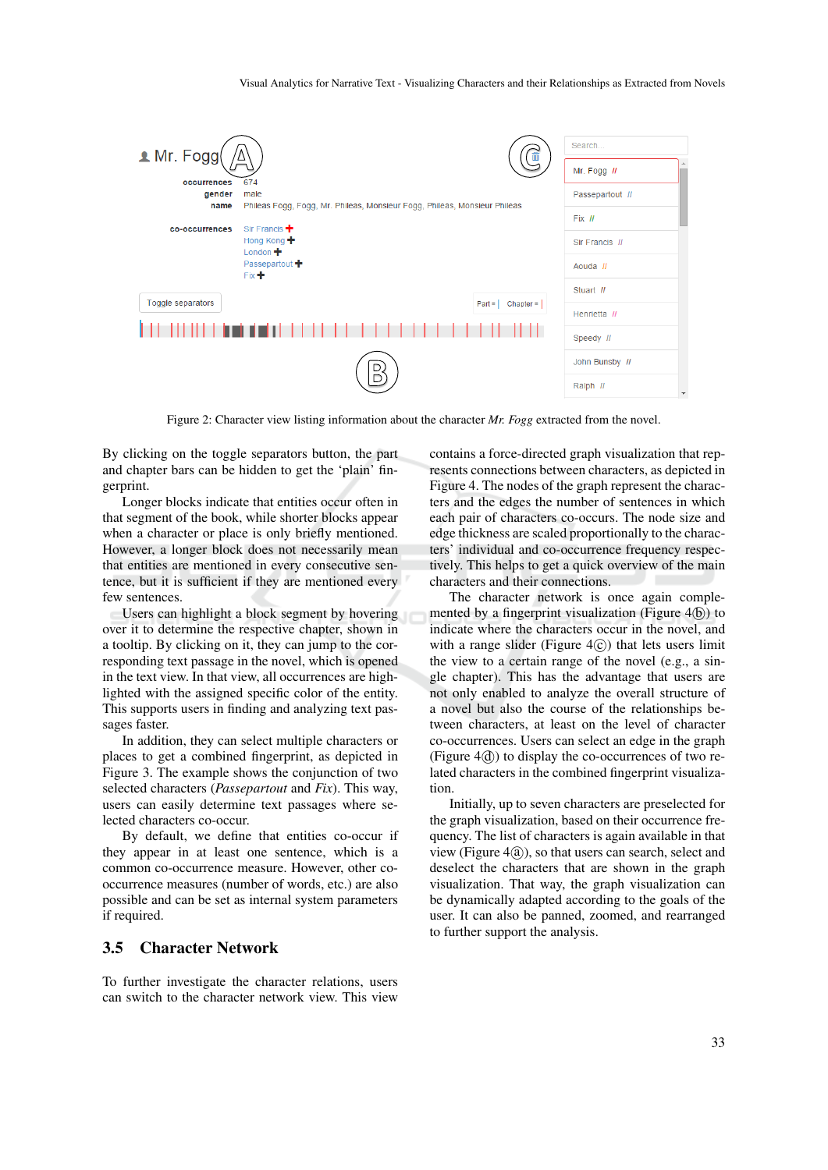

Figure 2: Character view listing information about the character *Mr. Fogg* extracted from the novel.

By clicking on the toggle separators button, the part and chapter bars can be hidden to get the 'plain' fingerprint.

Longer blocks indicate that entities occur often in that segment of the book, while shorter blocks appear when a character or place is only briefly mentioned. However, a longer block does not necessarily mean that entities are mentioned in every consecutive sentence, but it is sufficient if they are mentioned every few sentences.

Users can highlight a block segment by hovering over it to determine the respective chapter, shown in a tooltip. By clicking on it, they can jump to the corresponding text passage in the novel, which is opened in the text view. In that view, all occurrences are highlighted with the assigned specific color of the entity. This supports users in finding and analyzing text passages faster.

In addition, they can select multiple characters or places to get a combined fingerprint, as depicted in Figure 3. The example shows the conjunction of two selected characters (*Passepartout* and *Fix*). This way, users can easily determine text passages where selected characters co-occur.

By default, we define that entities co-occur if they appear in at least one sentence, which is a common co-occurrence measure. However, other cooccurrence measures (number of words, etc.) are also possible and can be set as internal system parameters if required.

### 3.5 Character Network

To further investigate the character relations, users can switch to the character network view. This view

contains a force-directed graph visualization that represents connections between characters, as depicted in Figure 4. The nodes of the graph represent the characters and the edges the number of sentences in which each pair of characters co-occurs. The node size and edge thickness are scaled proportionally to the characters' individual and co-occurrence frequency respectively. This helps to get a quick overview of the main characters and their connections.

The character network is once again complemented by a fingerprint visualization (Figure  $4(b)$ ) to indicate where the characters occur in the novel, and with a range slider (Figure  $4\circled{c}$ ) that lets users limit the view to a certain range of the novel (e.g., a single chapter). This has the advantage that users are not only enabled to analyze the overall structure of a novel but also the course of the relationships between characters, at least on the level of character co-occurrences. Users can select an edge in the graph (Figure  $4$  $\textcircled{d}$ ) to display the co-occurrences of two related characters in the combined fingerprint visualization.

Initially, up to seven characters are preselected for the graph visualization, based on their occurrence frequency. The list of characters is again available in that view (Figure  $4(a)$ ), so that users can search, select and deselect the characters that are shown in the graph visualization. That way, the graph visualization can be dynamically adapted according to the goals of the user. It can also be panned, zoomed, and rearranged to further support the analysis.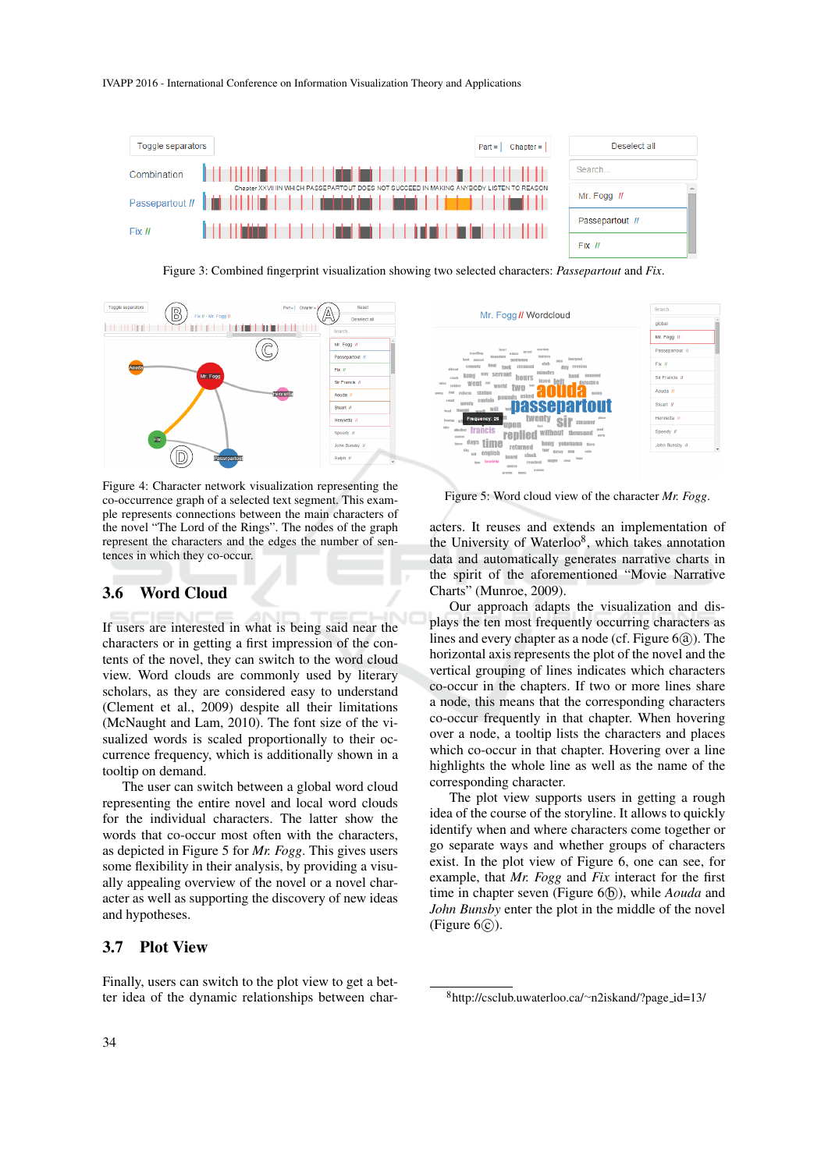



Figure 3: Combined fingerprint visualization showing two selected characters: *Passepartout* and *Fix*.



Figure 4: Character network visualization representing the co-occurrence graph of a selected text segment. This example represents connections between the main characters of the novel "The Lord of the Rings". The nodes of the graph represent the characters and the edges the number of sentences in which they co-occur.

### 3.6 Word Cloud

If users are interested in what is being said near the characters or in getting a first impression of the contents of the novel, they can switch to the word cloud view. Word clouds are commonly used by literary scholars, as they are considered easy to understand (Clement et al., 2009) despite all their limitations (McNaught and Lam, 2010). The font size of the visualized words is scaled proportionally to their occurrence frequency, which is additionally shown in a tooltip on demand.

The user can switch between a global word cloud representing the entire novel and local word clouds for the individual characters. The latter show the words that co-occur most often with the characters, as depicted in Figure 5 for *Mr. Fogg*. This gives users some flexibility in their analysis, by providing a visually appealing overview of the novel or a novel character as well as supporting the discovery of new ideas and hypotheses.

#### 3.7 Plot View

Finally, users can switch to the plot view to get a better idea of the dynamic relationships between char-

Figure 5: Word cloud view of the character *Mr. Fogg*.

acters. It reuses and extends an implementation of the University of Waterloo<sup>8</sup>, which takes annotation data and automatically generates narrative charts in the spirit of the aforementioned "Movie Narrative Charts" (Munroe, 2009).

Our approach adapts the visualization and displays the ten most frequently occurring characters as lines and every chapter as a node (cf. Figure  $6a$ ). The horizontal axis represents the plot of the novel and the vertical grouping of lines indicates which characters co-occur in the chapters. If two or more lines share a node, this means that the corresponding characters co-occur frequently in that chapter. When hovering over a node, a tooltip lists the characters and places which co-occur in that chapter. Hovering over a line highlights the whole line as well as the name of the corresponding character.

The plot view supports users in getting a rough idea of the course of the storyline. It allows to quickly identify when and where characters come together or go separate ways and whether groups of characters exist. In the plot view of Figure 6, one can see, for example, that *Mr. Fogg* and *Fix* interact for the first time in chapter seven (Figure 6<sup>(b)</sup>), while *Aouda* and *John Bunsby* enter the plot in the middle of the novel  $(Figure 6)$ .

<sup>8</sup>http://csclub.uwaterloo.ca/∼n2iskand/?page id=13/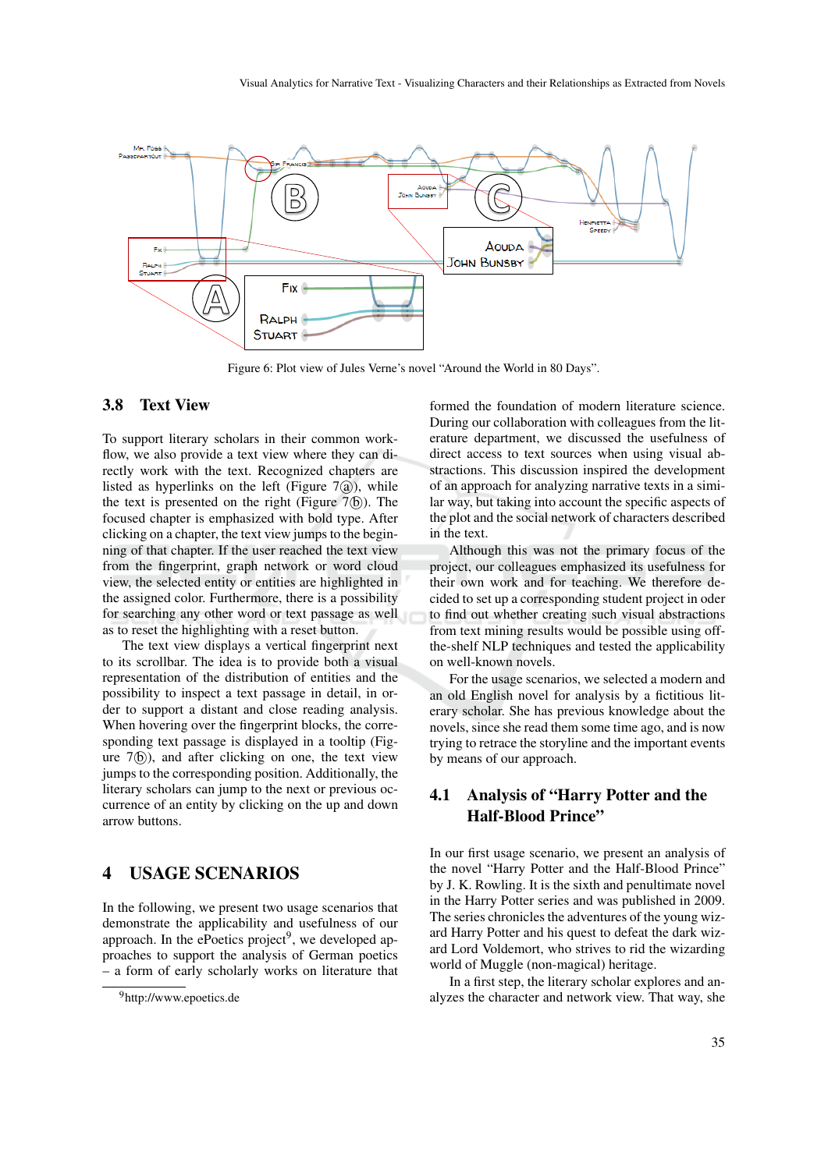

Figure 6: Plot view of Jules Verne's novel "Around the World in 80 Days".

## 3.8 Text View

To support literary scholars in their common workflow, we also provide a text view where they can directly work with the text. Recognized chapters are listed as hyperlinks on the left (Figure  $7a$ ), while the text is presented on the right (Figure  $7(b)$ ). The focused chapter is emphasized with bold type. After clicking on a chapter, the text view jumps to the beginning of that chapter. If the user reached the text view from the fingerprint, graph network or word cloud view, the selected entity or entities are highlighted in the assigned color. Furthermore, there is a possibility for searching any other word or text passage as well as to reset the highlighting with a reset button.

The text view displays a vertical fingerprint next to its scrollbar. The idea is to provide both a visual representation of the distribution of entities and the possibility to inspect a text passage in detail, in order to support a distant and close reading analysis. When hovering over the fingerprint blocks, the corresponding text passage is displayed in a tooltip (Figure  $7(b)$ , and after clicking on one, the text view jumps to the corresponding position. Additionally, the literary scholars can jump to the next or previous occurrence of an entity by clicking on the up and down arrow buttons.

## 4 USAGE SCENARIOS

In the following, we present two usage scenarios that demonstrate the applicability and usefulness of our approach. In the ePoetics project<sup>9</sup>, we developed approaches to support the analysis of German poetics – a form of early scholarly works on literature that formed the foundation of modern literature science. During our collaboration with colleagues from the literature department, we discussed the usefulness of direct access to text sources when using visual abstractions. This discussion inspired the development of an approach for analyzing narrative texts in a similar way, but taking into account the specific aspects of the plot and the social network of characters described in the text.

Although this was not the primary focus of the project, our colleagues emphasized its usefulness for their own work and for teaching. We therefore decided to set up a corresponding student project in oder to find out whether creating such visual abstractions from text mining results would be possible using offthe-shelf NLP techniques and tested the applicability on well-known novels.

For the usage scenarios, we selected a modern and an old English novel for analysis by a fictitious literary scholar. She has previous knowledge about the novels, since she read them some time ago, and is now trying to retrace the storyline and the important events by means of our approach.

## 4.1 Analysis of "Harry Potter and the Half-Blood Prince"

In our first usage scenario, we present an analysis of the novel "Harry Potter and the Half-Blood Prince" by J. K. Rowling. It is the sixth and penultimate novel in the Harry Potter series and was published in 2009. The series chronicles the adventures of the young wizard Harry Potter and his quest to defeat the dark wizard Lord Voldemort, who strives to rid the wizarding world of Muggle (non-magical) heritage.

In a first step, the literary scholar explores and analyzes the character and network view. That way, she

<sup>9</sup>http://www.epoetics.de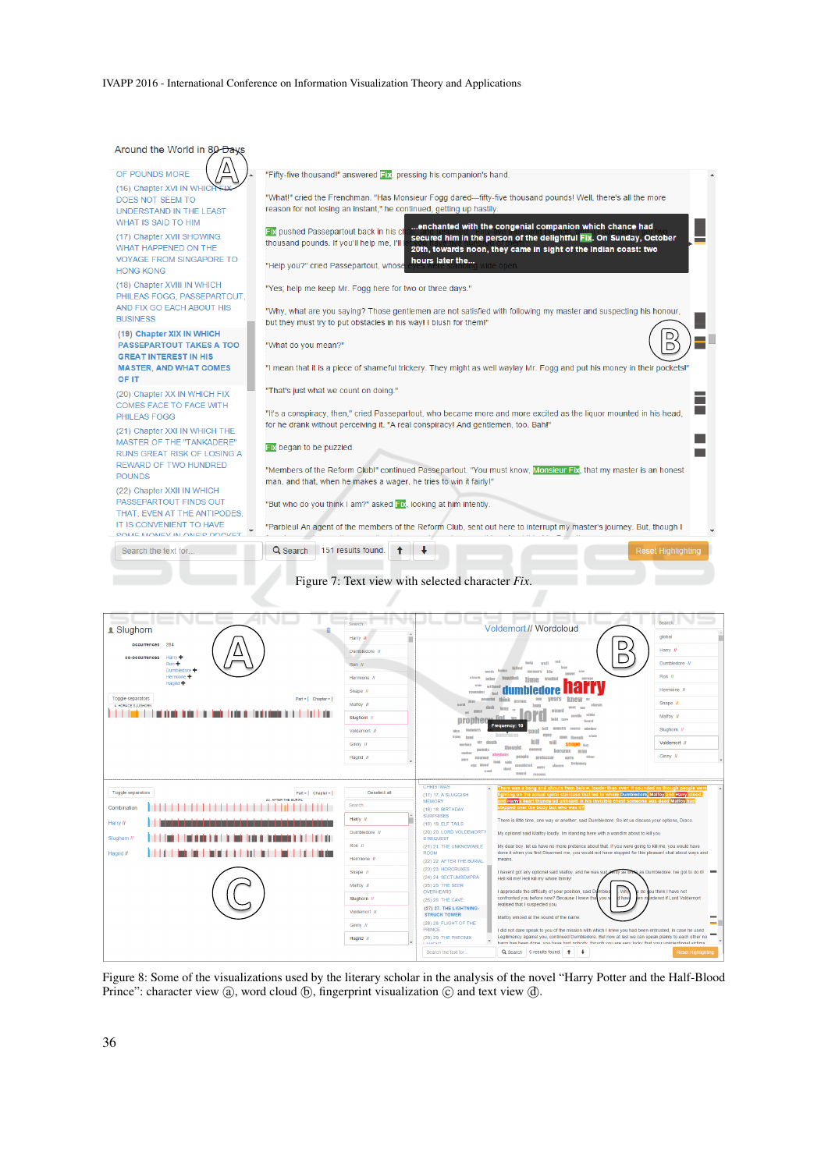

| <b>1</b> Slughorn                                                                                                                                                                                                            | Search<br>Harry $II$        | Search.<br><b>Voldemort // Wordcloud</b><br>global                                                                                                                                                                                                                                                                                                                                                                                                                                                                                                                                                                                              |
|------------------------------------------------------------------------------------------------------------------------------------------------------------------------------------------------------------------------------|-----------------------------|-------------------------------------------------------------------------------------------------------------------------------------------------------------------------------------------------------------------------------------------------------------------------------------------------------------------------------------------------------------------------------------------------------------------------------------------------------------------------------------------------------------------------------------------------------------------------------------------------------------------------------------------------|
| occurrences 284                                                                                                                                                                                                              | Dumbledore //               | D<br>Harry II                                                                                                                                                                                                                                                                                                                                                                                                                                                                                                                                                                                                                                   |
| Harry +<br>co-occurrences<br>Ron +                                                                                                                                                                                           | Ron //                      | Dumbledore //                                                                                                                                                                                                                                                                                                                                                                                                                                                                                                                                                                                                                                   |
| Dumbledore +<br>Hermione +<br>Hagrid +<br>Toggle separators<br>$Part =   Chapter =  $<br>4. HORACE SLUGHORN<br>mat de adaptat de de la forma de altres de la citat de la forma de altres de la forma de la forma de la forma | Hermione //                 | unrde<br>memory<br>Ron //<br>wizanda<br>wanted<br><b>Dod Babit</b>                                                                                                                                                                                                                                                                                                                                                                                                                                                                                                                                                                              |
|                                                                                                                                                                                                                              | Snape II                    | <b>Wine</b><br>Hermione //<br>remembe                                                                                                                                                                                                                                                                                                                                                                                                                                                                                                                                                                                                           |
|                                                                                                                                                                                                                              | Malfoy //                   | DRISOE<br><b>VPBF</b><br>Snape //<br>world                                                                                                                                                                                                                                                                                                                                                                                                                                                                                                                                                                                                      |
|                                                                                                                                                                                                                              | Slughorn //                 | WİZAF<br>ntace<br>Malfoy //<br>nronhe                                                                                                                                                                                                                                                                                                                                                                                                                                                                                                                                                                                                           |
|                                                                                                                                                                                                                              | Voldemort //                | Frequency: 10<br><b>tell</b><br>mmstry<br>course<br>schedule<br>Slughorn //<br>horcruxes<br><b>whole</b>                                                                                                                                                                                                                                                                                                                                                                                                                                                                                                                                        |
|                                                                                                                                                                                                                              | Ginny //                    | str death<br>Voldemort //<br>unrkinn<br>though<br>man                                                                                                                                                                                                                                                                                                                                                                                                                                                                                                                                                                                           |
|                                                                                                                                                                                                                              | Hagrid //                   | Ginny //<br>ameida ras<br>cheser                                                                                                                                                                                                                                                                                                                                                                                                                                                                                                                                                                                                                |
|                                                                                                                                                                                                                              |                             | toward reasons                                                                                                                                                                                                                                                                                                                                                                                                                                                                                                                                                                                                                                  |
| <b>Toggle separators</b><br>$Part =$ Chapter = $\vert$<br>22. AFTER THE BURIAL                                                                                                                                               | Deselect all                | <b>CHRISTMAS</b><br>$\Delta$<br>There was a bang and shouts from below, louder than ever; it sounded as though people were<br>ighting on the actual spiral staircase that led to where Dumbledore, Malfoy and Harry stood.<br>(17) 17. A SLUGGISH<br>and Harrys heart thundered unheard in his invisible chest someone was dead Malfoy had<br><b>MEMORY</b>                                                                                                                                                                                                                                                                                     |
| Combination                                                                                                                                                                                                                  | Search.                     | stepped over the body but who was it?<br>(18) 18. BIRTHDAY<br><b>SURPRISES</b>                                                                                                                                                                                                                                                                                                                                                                                                                                                                                                                                                                  |
| Harry II                                                                                                                                                                                                                     | Harry //                    | There is little time, one way or another, said Dumbledore. So let us discuss your options, Draco.<br>(19) 19. ELF TAILS                                                                                                                                                                                                                                                                                                                                                                                                                                                                                                                         |
| that the fourth deviation in the first interface of the deviation of the construction in the first deviation of<br>Slughorn //                                                                                               | Dumbledore //               | (20) 20. LORD VOLDEMORT?<br>My options! said Malfoy loudly. Im standing here with a wandlm about to kill you<br>S REQUEST                                                                                                                                                                                                                                                                                                                                                                                                                                                                                                                       |
| in the first contribution of the first participation in the first contribution of the contribution of the first<br>Hagrid II                                                                                                 | Ron II                      | My dear boy, let us have no more pretence about that. If you were going to kill me, you would have<br>(21) 21. THE UNKNOWABLE<br>done it when you first Disarmed me, you would not have stopped for this pleasant chat about ways and<br><b>ROOM</b>                                                                                                                                                                                                                                                                                                                                                                                            |
|                                                                                                                                                                                                                              | Hermione //                 | means.<br>(22) 22. AFTER THE BURIAL<br>(23) 23. HORCRUXES<br>I havent got any options! said Malfoy, and he was sud of<br>as Dumbledore. Ive got to do it!<br>(24) 24. SECTUMSEMPRA<br>Hell kill me! Hell kill my whole family!<br>(25) 25. THE SEER<br>I appreciate the difficulty of your position, said Dumbled<br>Why<br>do you think I have not<br>OVERHEARD<br>confronted you before now? Because I knew that you<br>en murdered if Lord Voldemort<br>d have<br>(26) 26. THE CAVE<br>realised that I suspected you.<br>(27) 27. THE LIGHTNING-<br><b>STRUCK TOWER</b><br>Malfoy winced at the sound of the name.<br>(28) 28. FLIGHT OF THE |
|                                                                                                                                                                                                                              | Snape //                    |                                                                                                                                                                                                                                                                                                                                                                                                                                                                                                                                                                                                                                                 |
|                                                                                                                                                                                                                              | Malfoy II                   |                                                                                                                                                                                                                                                                                                                                                                                                                                                                                                                                                                                                                                                 |
|                                                                                                                                                                                                                              | Slughorn //<br>Voldemort // |                                                                                                                                                                                                                                                                                                                                                                                                                                                                                                                                                                                                                                                 |
|                                                                                                                                                                                                                              | Ginny II                    |                                                                                                                                                                                                                                                                                                                                                                                                                                                                                                                                                                                                                                                 |
|                                                                                                                                                                                                                              | Hagrid //                   | <b>PRINCE</b><br>I did not dare speak to you of the mission with which I knew you had been entrusted, in case he used<br>Legilimency against you, continued Dumbledore. But now at last we can speak plainly to each other no<br>(29) 29. THE PHEONIX                                                                                                                                                                                                                                                                                                                                                                                           |
|                                                                                                                                                                                                                              |                             | harm has heen done you have buit nobody. though you are yery lucky that your unintentional victims<br><b>CANADARY</b><br>Q Search 6 results found.<br>۰<br>Search the text for<br><b>Reset Highlighting</b>                                                                                                                                                                                                                                                                                                                                                                                                                                     |
|                                                                                                                                                                                                                              |                             |                                                                                                                                                                                                                                                                                                                                                                                                                                                                                                                                                                                                                                                 |

Figure 8: Some of the visualizations used by the literary scholar in the analysis of the novel "Harry Potter and the Half-Blood Prince": character view (a), word cloud (b), fingerprint visualization (C) and text view (d).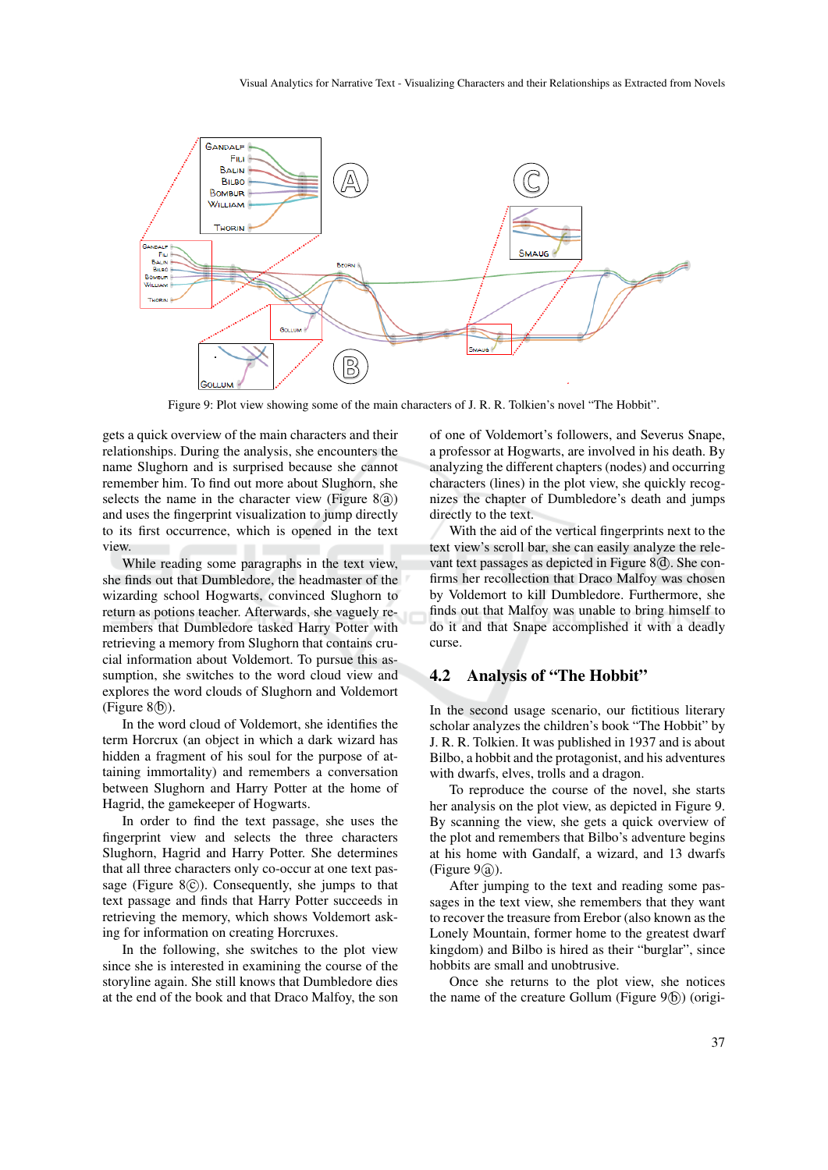![](_page_8_Figure_1.jpeg)

Figure 9: Plot view showing some of the main characters of J. R. R. Tolkien's novel "The Hobbit".

gets a quick overview of the main characters and their relationships. During the analysis, she encounters the name Slughorn and is surprised because she cannot remember him. To find out more about Slughorn, she selects the name in the character view (Figure  $8\hat{a}$ ) and uses the fingerprint visualization to jump directly to its first occurrence, which is opened in the text view.

While reading some paragraphs in the text view, she finds out that Dumbledore, the headmaster of the wizarding school Hogwarts, convinced Slughorn to return as potions teacher. Afterwards, she vaguely remembers that Dumbledore tasked Harry Potter with retrieving a memory from Slughorn that contains crucial information about Voldemort. To pursue this assumption, she switches to the word cloud view and explores the word clouds of Slughorn and Voldemort  $(Figure 8(b)).$ 

In the word cloud of Voldemort, she identifies the term Horcrux (an object in which a dark wizard has hidden a fragment of his soul for the purpose of attaining immortality) and remembers a conversation between Slughorn and Harry Potter at the home of Hagrid, the gamekeeper of Hogwarts.

In order to find the text passage, she uses the fingerprint view and selects the three characters Slughorn, Hagrid and Harry Potter. She determines that all three characters only co-occur at one text passage (Figure  $8(\tilde{c})$ ). Consequently, she jumps to that text passage and finds that Harry Potter succeeds in retrieving the memory, which shows Voldemort asking for information on creating Horcruxes.

In the following, she switches to the plot view since she is interested in examining the course of the storyline again. She still knows that Dumbledore dies at the end of the book and that Draco Malfoy, the son

of one of Voldemort's followers, and Severus Snape, a professor at Hogwarts, are involved in his death. By analyzing the different chapters (nodes) and occurring characters (lines) in the plot view, she quickly recognizes the chapter of Dumbledore's death and jumps directly to the text.

With the aid of the vertical fingerprints next to the text view's scroll bar, she can easily analyze the relevant text passages as depicted in Figure 8(d). She confirms her recollection that Draco Malfoy was chosen by Voldemort to kill Dumbledore. Furthermore, she finds out that Malfoy was unable to bring himself to do it and that Snape accomplished it with a deadly curse.

## 4.2 Analysis of "The Hobbit"

In the second usage scenario, our fictitious literary scholar analyzes the children's book "The Hobbit" by J. R. R. Tolkien. It was published in 1937 and is about Bilbo, a hobbit and the protagonist, and his adventures with dwarfs, elves, trolls and a dragon.

To reproduce the course of the novel, she starts her analysis on the plot view, as depicted in Figure 9. By scanning the view, she gets a quick overview of the plot and remembers that Bilbo's adventure begins at his home with Gandalf, a wizard, and 13 dwarfs  $(Figure 9(a))$ .

After jumping to the text and reading some passages in the text view, she remembers that they want to recover the treasure from Erebor (also known as the Lonely Mountain, former home to the greatest dwarf kingdom) and Bilbo is hired as their "burglar", since hobbits are small and unobtrusive.

Once she returns to the plot view, she notices the name of the creature Gollum (Figure  $9(6)$ ) (origi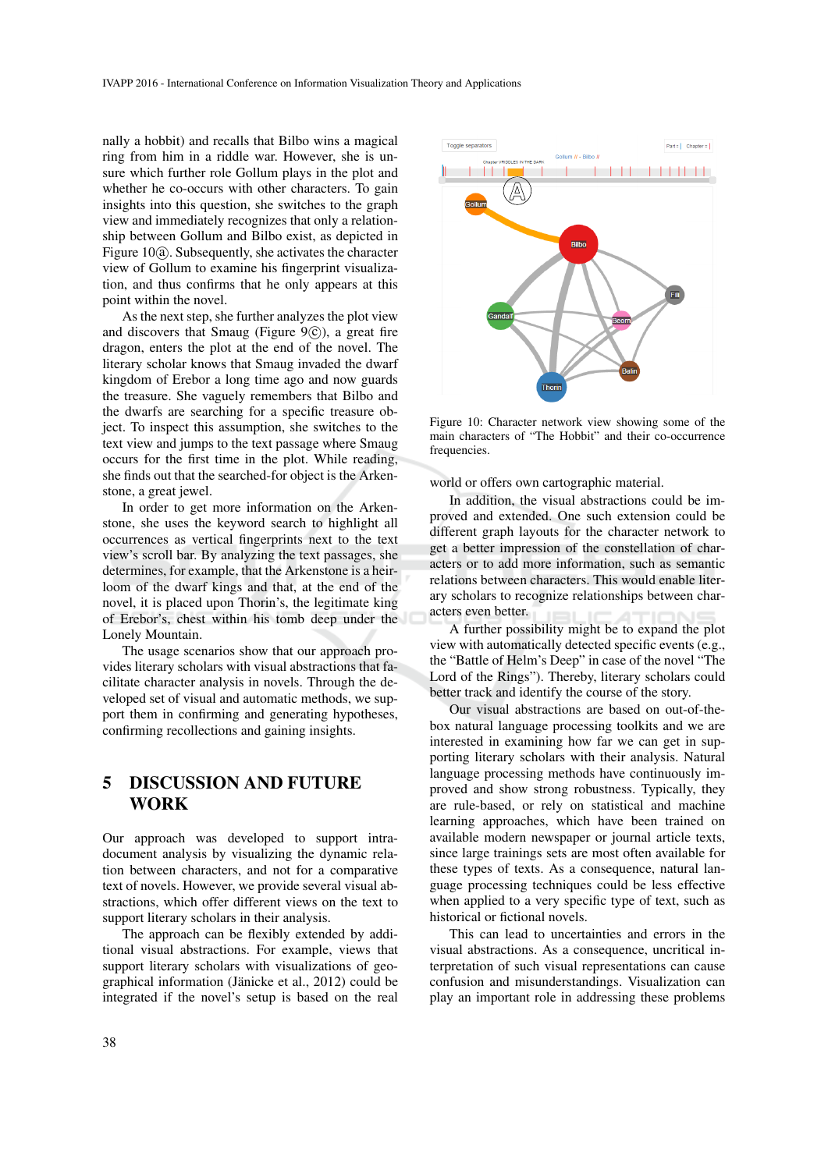nally a hobbit) and recalls that Bilbo wins a magical ring from him in a riddle war. However, she is unsure which further role Gollum plays in the plot and whether he co-occurs with other characters. To gain insights into this question, she switches to the graph view and immediately recognizes that only a relationship between Gollum and Bilbo exist, as depicted in Figure 10(a). Subsequently, she activates the character view of Gollum to examine his fingerprint visualization, and thus confirms that he only appears at this point within the novel.

As the next step, she further analyzes the plot view and discovers that Smaug (Figure  $9(\hat{c})$ ), a great fire dragon, enters the plot at the end of the novel. The literary scholar knows that Smaug invaded the dwarf kingdom of Erebor a long time ago and now guards the treasure. She vaguely remembers that Bilbo and the dwarfs are searching for a specific treasure object. To inspect this assumption, she switches to the text view and jumps to the text passage where Smaug occurs for the first time in the plot. While reading, she finds out that the searched-for object is the Arkenstone, a great jewel.

In order to get more information on the Arkenstone, she uses the keyword search to highlight all occurrences as vertical fingerprints next to the text view's scroll bar. By analyzing the text passages, she determines, for example, that the Arkenstone is a heirloom of the dwarf kings and that, at the end of the novel, it is placed upon Thorin's, the legitimate king of Erebor's, chest within his tomb deep under the Lonely Mountain.

The usage scenarios show that our approach provides literary scholars with visual abstractions that facilitate character analysis in novels. Through the developed set of visual and automatic methods, we support them in confirming and generating hypotheses, confirming recollections and gaining insights.

# 5 DISCUSSION AND FUTURE WORK

Our approach was developed to support intradocument analysis by visualizing the dynamic relation between characters, and not for a comparative text of novels. However, we provide several visual abstractions, which offer different views on the text to support literary scholars in their analysis.

The approach can be flexibly extended by additional visual abstractions. For example, views that support literary scholars with visualizations of geographical information (Jänicke et al., 2012) could be integrated if the novel's setup is based on the real

![](_page_9_Figure_8.jpeg)

Figure 10: Character network view showing some of the main characters of "The Hobbit" and their co-occurrence frequencies.

world or offers own cartographic material.

In addition, the visual abstractions could be improved and extended. One such extension could be different graph layouts for the character network to get a better impression of the constellation of characters or to add more information, such as semantic relations between characters. This would enable literary scholars to recognize relationships between characters even better.

A further possibility might be to expand the plot view with automatically detected specific events (e.g., the "Battle of Helm's Deep" in case of the novel "The Lord of the Rings"). Thereby, literary scholars could better track and identify the course of the story.

Our visual abstractions are based on out-of-thebox natural language processing toolkits and we are interested in examining how far we can get in supporting literary scholars with their analysis. Natural language processing methods have continuously improved and show strong robustness. Typically, they are rule-based, or rely on statistical and machine learning approaches, which have been trained on available modern newspaper or journal article texts, since large trainings sets are most often available for these types of texts. As a consequence, natural language processing techniques could be less effective when applied to a very specific type of text, such as historical or fictional novels.

This can lead to uncertainties and errors in the visual abstractions. As a consequence, uncritical interpretation of such visual representations can cause confusion and misunderstandings. Visualization can play an important role in addressing these problems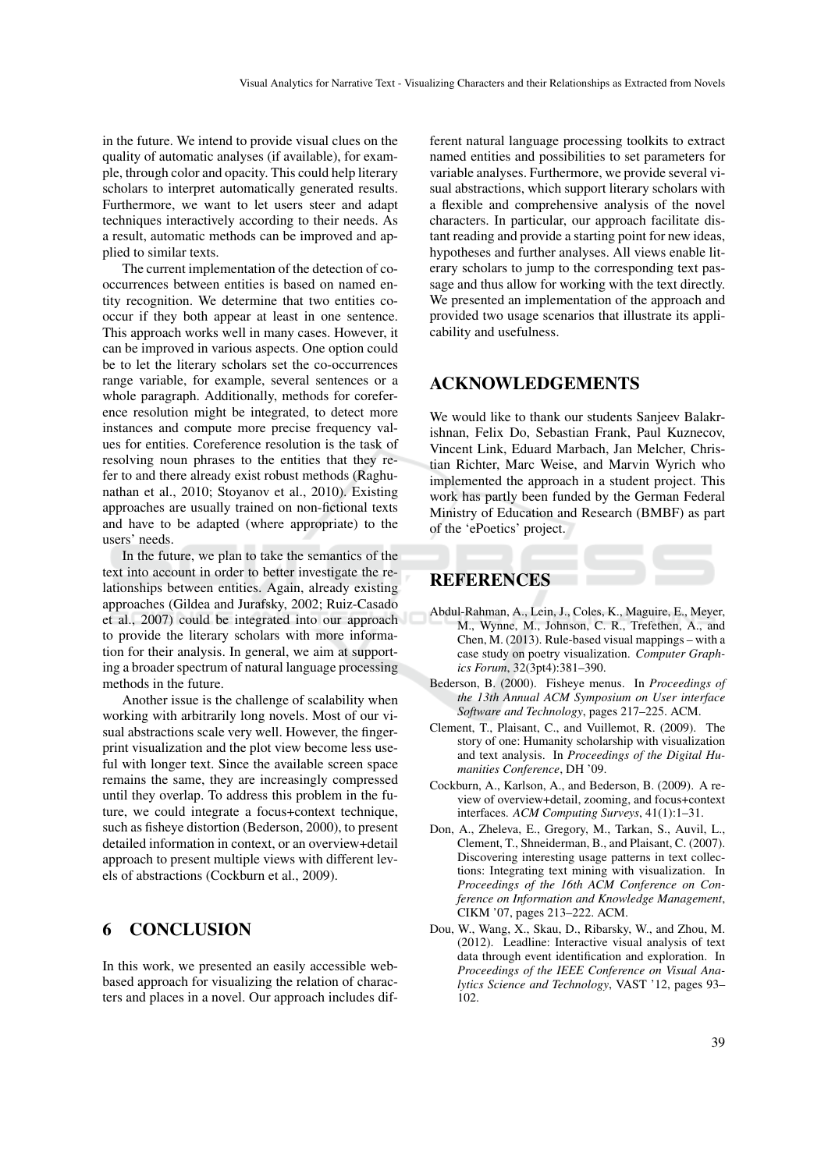in the future. We intend to provide visual clues on the quality of automatic analyses (if available), for example, through color and opacity. This could help literary scholars to interpret automatically generated results. Furthermore, we want to let users steer and adapt techniques interactively according to their needs. As a result, automatic methods can be improved and applied to similar texts.

The current implementation of the detection of cooccurrences between entities is based on named entity recognition. We determine that two entities cooccur if they both appear at least in one sentence. This approach works well in many cases. However, it can be improved in various aspects. One option could be to let the literary scholars set the co-occurrences range variable, for example, several sentences or a whole paragraph. Additionally, methods for coreference resolution might be integrated, to detect more instances and compute more precise frequency values for entities. Coreference resolution is the task of resolving noun phrases to the entities that they refer to and there already exist robust methods (Raghunathan et al., 2010; Stoyanov et al., 2010). Existing approaches are usually trained on non-fictional texts and have to be adapted (where appropriate) to the users' needs.

In the future, we plan to take the semantics of the text into account in order to better investigate the relationships between entities. Again, already existing approaches (Gildea and Jurafsky, 2002; Ruiz-Casado et al., 2007) could be integrated into our approach to provide the literary scholars with more information for their analysis. In general, we aim at supporting a broader spectrum of natural language processing methods in the future.

Another issue is the challenge of scalability when working with arbitrarily long novels. Most of our visual abstractions scale very well. However, the fingerprint visualization and the plot view become less useful with longer text. Since the available screen space remains the same, they are increasingly compressed until they overlap. To address this problem in the future, we could integrate a focus+context technique, such as fisheye distortion (Bederson, 2000), to present detailed information in context, or an overview+detail approach to present multiple views with different levels of abstractions (Cockburn et al., 2009).

## 6 CONCLUSION

In this work, we presented an easily accessible webbased approach for visualizing the relation of characters and places in a novel. Our approach includes dif-

ferent natural language processing toolkits to extract named entities and possibilities to set parameters for variable analyses. Furthermore, we provide several visual abstractions, which support literary scholars with a flexible and comprehensive analysis of the novel characters. In particular, our approach facilitate distant reading and provide a starting point for new ideas, hypotheses and further analyses. All views enable literary scholars to jump to the corresponding text passage and thus allow for working with the text directly. We presented an implementation of the approach and provided two usage scenarios that illustrate its applicability and usefulness.

## ACKNOWLEDGEMENTS

We would like to thank our students Sanjeev Balakrishnan, Felix Do, Sebastian Frank, Paul Kuznecov, Vincent Link, Eduard Marbach, Jan Melcher, Christian Richter, Marc Weise, and Marvin Wyrich who implemented the approach in a student project. This work has partly been funded by the German Federal Ministry of Education and Research (BMBF) as part of the 'ePoetics' project.

### REFERENCES

- Abdul-Rahman, A., Lein, J., Coles, K., Maguire, E., Meyer, M., Wynne, M., Johnson, C. R., Trefethen, A., and Chen, M. (2013). Rule-based visual mappings – with a case study on poetry visualization. *Computer Graphics Forum*, 32(3pt4):381–390.
- Bederson, B. (2000). Fisheye menus. In *Proceedings of the 13th Annual ACM Symposium on User interface Software and Technology*, pages 217–225. ACM.
- Clement, T., Plaisant, C., and Vuillemot, R. (2009). The story of one: Humanity scholarship with visualization and text analysis. In *Proceedings of the Digital Humanities Conference*, DH '09.
- Cockburn, A., Karlson, A., and Bederson, B. (2009). A review of overview+detail, zooming, and focus+context interfaces. *ACM Computing Surveys*, 41(1):1–31.
- Don, A., Zheleva, E., Gregory, M., Tarkan, S., Auvil, L., Clement, T., Shneiderman, B., and Plaisant, C. (2007). Discovering interesting usage patterns in text collections: Integrating text mining with visualization. In *Proceedings of the 16th ACM Conference on Conference on Information and Knowledge Management*, CIKM '07, pages 213–222. ACM.
- Dou, W., Wang, X., Skau, D., Ribarsky, W., and Zhou, M. (2012). Leadline: Interactive visual analysis of text data through event identification and exploration. In *Proceedings of the IEEE Conference on Visual Analytics Science and Technology*, VAST '12, pages 93– 102.